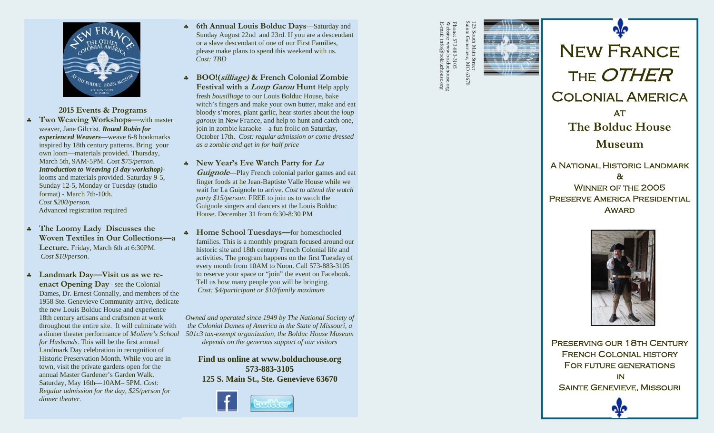

**2015 Events & Programs**  ♣ **Two Weaving Workshops—**with master weaver, Jane Gilcrist. *Round Robin for experienced Weavers*—weave 6-8 bookmarks inspired by 18th century patterns. Bring your own loom—materials provided. Thursday, March 5th, 9AM-5PM. *Cost \$75/person*. *Introduction to Weaving (3 day workshop)* looms and materials provided. Saturday 9-5, Sunday 12-5, Monday or Tuesday (studio format) - March 7th-10th. *Cost \$200/person.* Advanced registration required

- **The Loomy Lady Discusses the Woven Textiles in Our Collections—a Lecture.** Friday, March 6th at 6:30PM. *Cost \$10/person*.
- $\clubsuit$  **Landmark Day—Visit us as we reenact Opening Day**– see the Colonial Dames, Dr. Ernest Connally, and members of the 1958 Ste. Genevieve Community arrive, dedicate the new Louis Bolduc House and experience 18th century artisans and craftsmen at work throughout the entire site. It will culminate with *for Husbands*. This will be the first annual Landmark Day celebration in recognition of Historic Preservation Month. While you are in town, visit the private gardens open for the annual Master Gardener's Garden Walk. Saturday, May 16th—10AM– 5PM. *Cost: Regular admission for the day, \$25/person for dinner theater.*
- **6th Annual Louis Bolduc Days**—Saturday and Sunday August 22nd and 23rd. If you are a descendant or a slave descendant of one of our First Families, please make plans to spend this weekend with us. *Cost: TBD*
- **BOO!(silliage) & French Colonial Zombie Festival with a Loup Garou Hunt** Help apply fresh *bousilliage* to our Louis Bolduc House, bake witch's fingers and make your own butter, make and eat bloody s'mores, plant garlic, hear stories about the *loup garoux* in New France, and help to hunt and catch one, join in zombie karaoke—a fun frolic on Saturday, October 17th. *Cost: regular admission or come dressed as a zombie and get in for half price*
- **New Year's Eve Watch Party for La Guignole**—Play French colonial parlor games and eat finger foods at he Jean-Baptiste Valle House while we wait for La Guignole to arrive. *Cost to attend the watch party \$15/person*. FREE to join us to watch the Guignole singers and dancers at the Louis Bolduc House. December 31 from 6:30-8:30 PM
- **Home School Tuesdays—**for homeschooled families. This is a monthly program focused around our historic site and 18th century French Colonial life and activities. The program happens on the first Tuesday of every month from 10AM to Noon. Call 573-883-3105 to reserve your space or "join" the event on Facebook. Tell us how many people you will be bringing. *Cost: \$4/participant or \$10/family maximum*

a dinner theater performance of *Moliere's School 501c3 tax-exempt organization, the Bolduc House Museum Owned and operated since 1949 by The National Society of the Colonial Dames of America in the State of Missouri, a depends on the generous support of our visitors* 

> **Find us online at www.bolduchouse.org 573-883-3105 125 S. Main St., Ste. Genevieve 63670**



Sainte Genevieve, MO 63670 Phone: 573-883-3105<br>Website: www.bolduchouse.org<br>E-mail: info@bolduchouse.org E-mail: info@bolduchouse.org Website: www.bolduchouse.org Phone: 573-883-3105 Oet<br>Gen ు స్ **NC** 07080







PRESERVING OUR 18TH CENTURY French Colonial history For future generations in Sainte Genevieve, Missouri